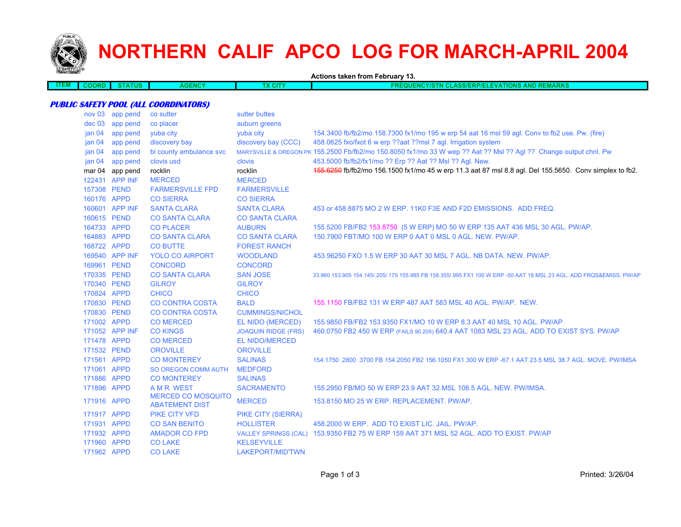

## **NORTHERN CALIF APCO LOG FOR MARCH-APRIL 2004**

**Actions taken from February 13.**

| ₹Ŋ<br>. | <b>TATUS</b> | <b>GENCY</b><br>AG | <b>X CITY</b> | <b>AND REMARKS</b><br><b>QUENCY/STN CLASS/ERP/ELEVATIONS /</b> |
|---------|--------------|--------------------|---------------|----------------------------------------------------------------|
|         |              |                    |               |                                                                |

## **PUBLIC SAFETY POOL (ALL COORDINATORS)**

| nov 03            | app pend        | co sutter                                          | sutter buttes               |                                                                                                                     |
|-------------------|-----------------|----------------------------------------------------|-----------------------------|---------------------------------------------------------------------------------------------------------------------|
| dec 03            | app pend        | co placer                                          | auburn greens               |                                                                                                                     |
| jan <sub>04</sub> | app pend        | vuba city                                          | vuba city                   | 154.3400 fb/fb2/mo 158.7300 fx1/mo 195 w erp 54 aat 16 msl 59 agl. Conv to fb2 use. Pw. (fire)                      |
| jan <sub>04</sub> | app pend        | discovery bay                                      | discovery bay (CCC)         | 458.0625 fxo/fxot 6 w erp ??aat ??msl 7 agl. Irrigation system                                                      |
| jan <sub>04</sub> | app pend        | bi county ambulance svc                            |                             | MARYSVILLE & OREGON PK 155.2500 Fb/fb2/mo 150.8050 fx1/mo 33 W wep ?? Aat ?? Msl ?? Agl ?? Change output chnl. Pw   |
| jan <sub>04</sub> | app pend        | clovis usd                                         | clovis                      | 453.5000 fb/fb2/fx1/mo ?? Erp ?? Aat ?? Msl ?? Agl. New.                                                            |
|                   | mar 04 app pend | rocklin                                            | rocklin                     | 155.6250 fb/fb2/mo 156.1500 fx1/mo 45 w erp 11.3 aat 87 msl 8.8 agl. Del 155.5650. Conv simplex to fb2.             |
|                   | 122431 APP INF  | <b>MERCED</b>                                      | <b>MERCED</b>               |                                                                                                                     |
|                   | 157308 PEND     | <b>FARMERSVILLE FPD</b>                            | <b>FARMERSVILLE</b>         |                                                                                                                     |
|                   | 160176 APPD     | <b>CO SIERRA</b>                                   | <b>CO SIERRA</b>            |                                                                                                                     |
|                   | 160601 APP INF  | <b>SANTA CLARA</b>                                 | <b>SANTA CLARA</b>          | 453 or 458,8875 MO 2 W ERP, 11K0 F3E AND F2D EMISSIONS. ADD FREQ.                                                   |
|                   | 160615 PEND     | <b>CO SANTA CLARA</b>                              | <b>CO SANTA CLARA</b>       |                                                                                                                     |
|                   | 164733 APPD     | <b>CO PLACER</b>                                   | <b>AUBURN</b>               | 155.5200 FB/FB2 153.8750 (5 W ERP) MO 50 W ERP 135 AAT 436 MSL 30 AGL. PW/AP.                                       |
|                   | 164883 APPD     | <b>CO SANTA CLARA</b>                              | <b>CO SANTA CLARA</b>       | 150.7900 FBT/MO 100 W ERP 0 AAT 0 MSL 0 AGL. NEW. PW/AP.                                                            |
|                   | 168722 APPD     | <b>CO BUTTE</b>                                    | <b>FOREST RANCH</b>         |                                                                                                                     |
|                   | 169540 APP INF  | <b>YOLO CO AIRPORT</b>                             | <b>WOODLAND</b>             | 453,96250 FXO 1.5 W ERP 30 AAT 30 MSL 7 AGL, NB DATA, NEW, PW/AP.                                                   |
|                   | 169961 PEND     | <b>CONCORD</b>                                     | <b>CONCORD</b>              |                                                                                                                     |
|                   | 170335 PEND     | <b>CO SANTA CLARA</b>                              | <b>SAN JOSE</b>             | 33,960 153,905 154,145/.205/.175 155,985 FB 158,355/.995 FX1 100 W ERP -50 AAT 18 MSL 23 AGL, ADD FRQS&EMISS, PW/AP |
|                   | 170340 PEND     | <b>GILROY</b>                                      | <b>GILROY</b>               |                                                                                                                     |
|                   | 170824 APPD     | <b>CHICO</b>                                       | <b>CHICO</b>                |                                                                                                                     |
|                   | 170830 PEND     | <b>CO CONTRA COSTA</b>                             | <b>BALD</b>                 | 155,1150 FB/FB2 131 W ERP 487 AAT 583 MSL 40 AGL, PW/AP, NEW.                                                       |
|                   | 170830 PEND     | <b>CO CONTRA COSTA</b>                             | <b>CUMMINGS/NICHOL</b>      |                                                                                                                     |
|                   | 171002 APPD     | <b>CO MERCED</b>                                   | EL NIDO (MERCED)            | 155,9850 FB/FB2 153,9350 FX1/MO 10 W ERP 8.3 AAT 40 MSL 10 AGL. PW/AP                                               |
|                   | 171052 APP INF  | <b>CO KINGS</b>                                    | <b>JOAQUIN RIDGE (FRS)</b>  | 460.0750 FB2 450 W ERP (FAILS 90.205) 640.4 AAT 1083 MSL 23 AGL. ADD TO EXIST SYS. PW/AP                            |
|                   | 171478 APPD     | <b>CO MERCED</b>                                   | <b>EL NIDO/MERCED</b>       |                                                                                                                     |
|                   | 171532 PEND     | <b>OROVILLE</b>                                    | <b>OROVILLE</b>             |                                                                                                                     |
|                   | 171561 APPD     | <b>CO MONTEREY</b>                                 | <b>SALINAS</b>              | 154,1750,2800,3700 FB 154,2050 FB2 156,1050 FX1 300 W ERP -67.1 AAT 23.5 MSL 38.7 AGL, MOVE, PW/IMSA                |
|                   | 171061 APPD     | SO OREGON COMM AUTH                                | <b>MEDFORD</b>              |                                                                                                                     |
|                   | 171886 APPD     | <b>CO MONTEREY</b>                                 | <b>SALINAS</b>              |                                                                                                                     |
|                   | 171896 APPD     | <b>AMR WEST</b>                                    | <b>SACRAMENTO</b>           | 155,2950 FB/MO 50 W ERP 23.9 AAT 32.MSL 108.5 AGL, NEW, PW/IMSA.                                                    |
|                   | 171916 APPD     | <b>MERCED CO MOSQUITO</b><br><b>ABATEMENT DIST</b> | <b>MERCED</b>               | 153.8150 MO 25 W ERP. REPLACEMENT. PW/AP.                                                                           |
|                   | 171917 APPD     | PIKE CITY VFD                                      | <b>PIKE CITY (SIERRA)</b>   |                                                                                                                     |
|                   | 171931 APPD     | <b>CO SAN BENITO</b>                               | <b>HOLLISTER</b>            | 458.2000 W ERP. ADD TO EXIST LIC. JAIL. PW/AP.                                                                      |
|                   | 171932 APPD     |                                                    | <b>VALLEY SPRINGS (CAL)</b> | 153,9350 FB2 75 W ERP 159 AAT 371 MSL 52 AGL, ADD TO EXIST, PW/AP                                                   |
|                   | 171960 APPD     | <b>AMADOR CO FPD</b><br><b>CO LAKE</b>             | <b>KELSEYVILLE</b>          |                                                                                                                     |
|                   | 171962 APPD     | <b>CO LAKE</b>                                     |                             |                                                                                                                     |
|                   |                 |                                                    | LAKEPORT/MID'TWN            |                                                                                                                     |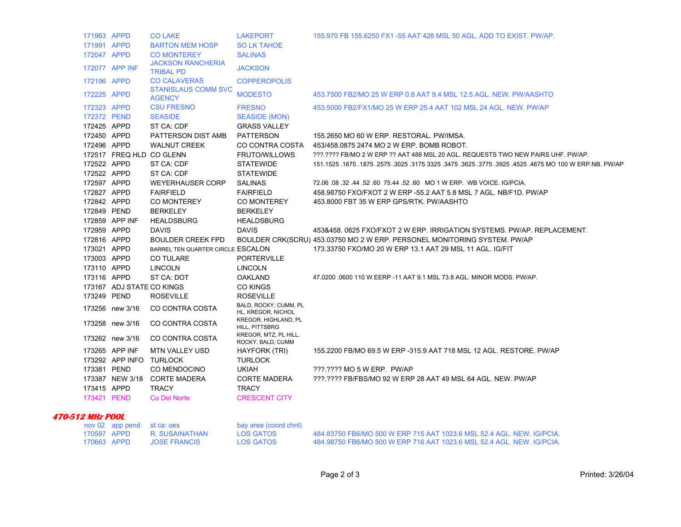| 171963 APPD      |                           | <b>CO LAKE</b>                               | <b>LAKEPORT</b>                             | 155.970 FB 155.6250 FX1 -55 AAT 426 MSL 50 AGL. ADD TO EXIST. PW/AP.                                   |
|------------------|---------------------------|----------------------------------------------|---------------------------------------------|--------------------------------------------------------------------------------------------------------|
| 171991 APPD      |                           | <b>BARTON MEM HOSP</b>                       | <b>SO LK TAHOE</b>                          |                                                                                                        |
| 172047 APPD      |                           | <b>CO MONTEREY</b>                           | <b>SALINAS</b>                              |                                                                                                        |
|                  | 172077 APP INF            | <b>JACKSON RANCHERIA</b><br><b>TRIBAL PD</b> | <b>JACKSON</b>                              |                                                                                                        |
| 172196 APPD      |                           | <b>CO CALAVERAS</b>                          | <b>COPPEROPOLIS</b>                         |                                                                                                        |
| 172225 APPD      |                           | <b>STANISLAUS COMM SVC</b><br><b>AGENCY</b>  | <b>MODESTO</b>                              | 453.7500 FB2/MO 25 W ERP 0.8 AAT 9.4 MSL 12.5 AGL, NEW, PW/AASHTO                                      |
| 172323 APPD      |                           | <b>CSU FRESNO</b>                            | <b>FRESNO</b>                               | 453,5000 FB2/FX1/MO 25 W ERP 25.4 AAT 102 MSL 24 AGL. NEW. PW/AP                                       |
| 172372 PEND      |                           | <b>SEASIDE</b>                               | SEASIDE (MON)                               |                                                                                                        |
| 172425 APPD      |                           | ST CA: CDF                                   | <b>GRASS VALLEY</b>                         |                                                                                                        |
| 172450 APPD      |                           | PATTERSON DIST AMB                           | <b>PATTERSON</b>                            | 155.2650 MO 60 W ERP. RESTORAL. PW/IMSA.                                                               |
| 172496 APPD      |                           | <b>WALNUT CREEK</b>                          | CO CONTRA COSTA                             | 453/458.0875 2474 MO 2 W ERP. BOMB ROBOT.                                                              |
|                  |                           | 172517 FREQ HLD CO GLENN                     | <b>FRUTO/WILLOWS</b>                        | ???.???? FB/MO 2 W ERP ?? AAT 488 MSL 20 AGL. REQUESTS TWO NEW PAIRS UHF. PW/AP.                       |
| 172522 APPD      |                           | ST CA: CDF                                   | <b>STATEWIDE</b>                            | 151.1525 .1675 .1875 .2575 .3025 .3175 3325 .3475 .3625 .3775 .3925 .4525 .4675 MO 100 W ERP.NB. PW/AF |
| 172522 APPD      |                           | ST CA: CDF                                   | <b>STATEWIDE</b>                            |                                                                                                        |
| 172597 APPD      |                           | <b>WEYERHAUSER CORP</b>                      | <b>SALINAS</b>                              | 72.06 08 32 44 52 60 75.44 52 60 MO 1 W ERP. WB VOICE IG/PCIA.                                         |
| 172827 APPD      |                           | <b>FAIRFIELD</b>                             | <b>FAIRFIELD</b>                            | 458.98750 FXO/FXOT 2 W ERP -55.2 AAT 5.8 MSL 7 AGL. NB/F1D. PW/AP                                      |
| 172842 APPD      |                           | <b>CO MONTEREY</b>                           | <b>CO MONTEREY</b>                          | 453,8000 FBT 35 W ERP GPS/RTK, PW/AASHTO                                                               |
| 172849 PEND      |                           | <b>BERKELEY</b>                              | <b>BERKELEY</b>                             |                                                                                                        |
|                  | 172859 APP INF            | <b>HEALDSBURG</b>                            | <b>HEALDSBURG</b>                           |                                                                                                        |
| 172959 APPD      |                           | <b>DAVIS</b>                                 | <b>DAVIS</b>                                | 453&458.0625 FXO/FXOT 2 W ERP. IRRIGATION SYSTEMS. PW/AP. REPLACEMENT.                                 |
| 172816 APPD      |                           | <b>BOULDER CREEK FPD</b>                     |                                             | BOULDER CRK(SCRU) 453.03750 MO 2 W ERP. PERSONEL MONITORING SYSTEM. PW/AP                              |
| 173021 APPD      |                           | BARREL TEN QUARTER CIRCLE ESCALON            |                                             | 173.33750 FXO/MO 20 W ERP 13.1 AAT 29 MSL 11 AGL. IG/FIT                                               |
| 173003 APPD      |                           | <b>CO TULARE</b>                             | <b>PORTERVILLE</b>                          |                                                                                                        |
| 173110 APPD      |                           | <b>LINCOLN</b>                               | <b>LINCOLN</b>                              |                                                                                                        |
| 173116 APPD      |                           | ST CA: DOT                                   | <b>OAKLAND</b>                              | 47.0200 .0600 110 W EERP -11 AAT 9.1 MSL 73.8 AGL, MINOR MODS, PW/AP.                                  |
|                  | 173167 ADJ STATE CO KINGS |                                              | <b>CO KINGS</b>                             |                                                                                                        |
| 173249 PEND      |                           | <b>ROSEVILLE</b>                             | <b>ROSEVILLE</b>                            |                                                                                                        |
|                  | 173256 new 3/16           | CO CONTRA COSTA                              | BALD, ROCKY, CUMM, PL<br>HL, KREGOR, NICHOL |                                                                                                        |
|                  | 173258 new 3/16           | CO CONTRA COSTA                              | KREGOR, HIGHLAND, PL<br>HILL, PITTSBRG      |                                                                                                        |
|                  | 173262 new 3/16           | CO CONTRA COSTA                              | KREGOR, MTZ, PL HILL,<br>ROCKY, BALD, CUMM  |                                                                                                        |
|                  | 173265 APP INF            | <b>MTN VALLEY USD</b>                        | HAYFORK (TRI)                               | 155,2200 FB/MO 69.5 W ERP -315.9 AAT 718 MSL 12 AGL, RESTORE, PW/AP                                    |
|                  | 173292 APP INFO TURLOCK   |                                              | <b>TURLOCK</b>                              |                                                                                                        |
| 173381 PEND      |                           | CO MENDOCINO                                 | <b>UKIAH</b>                                | ???.???? MO 5 W ERP. PW/AP                                                                             |
|                  | 173387 NEW 3/18           | <b>CORTE MADERA</b>                          | <b>CORTE MADERA</b>                         | ???.???? FB/FBS/MO 92 W ERP 28 AAT 49 MSL 64 AGL. NEW. PW/AP                                           |
| 173415 APPD      |                           | <b>TRACY</b>                                 | <b>TRACY</b>                                |                                                                                                        |
| 173421 PEND      |                           | Co Del Norte                                 | <b>CRESCENT CITY</b>                        |                                                                                                        |
| 470-512 MHz POOL |                           |                                              |                                             |                                                                                                        |
|                  | nov 02 app pend           | st ca: oes                                   | bay area (coord chnl)                       |                                                                                                        |
| 170597 APPD      |                           | R SUSAINATHAN                                | LOS GATOS                                   | 484 83750 FB6/MO 500 W FRP 715 AAT 1023 6 MSL 52 4 AGL NEW IG/PCIA                                     |